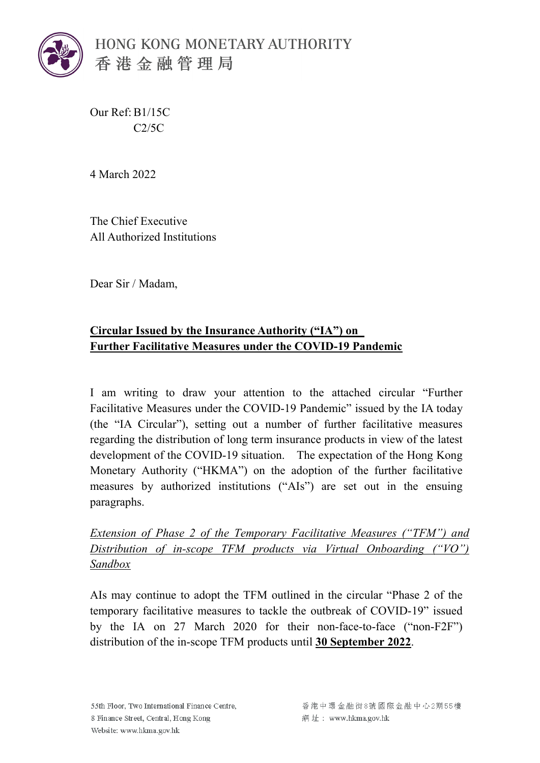

HONG KONG MONETARY AUTHORITY 香港金融管理局

Our Ref: B1/15C C2/5C

4 March 2022

The Chief Executive All Authorized Institutions

Dear Sir / Madam,

## **Circular Issued by the Insurance Authority ("IA") on Further Facilitative Measures under the COVID-19 Pandemic**

I am writing to draw your attention to the attached circular "Further Facilitative Measures under the COVID-19 Pandemic" issued by the IA today (the "IA Circular"), setting out a number of further facilitative measures regarding the distribution of long term insurance products in view of the latest development of the COVID-19 situation. The expectation of the Hong Kong Monetary Authority ("HKMA") on the adoption of the further facilitative measures by authorized institutions ("AIs") are set out in the ensuing paragraphs.

*Extension of Phase 2 of the Temporary Facilitative Measures ("TFM") and Distribution of in-scope TFM products via Virtual Onboarding ("VO") Sandbox*

AIs may continue to adopt the TFM outlined in the circular "Phase 2 of the temporary facilitative measures to tackle the outbreak of COVID-19" issued by the IA on 27 March 2020 for their non-face-to-face ("non-F2F") distribution of the in-scope TFM products until **30 September 2022**.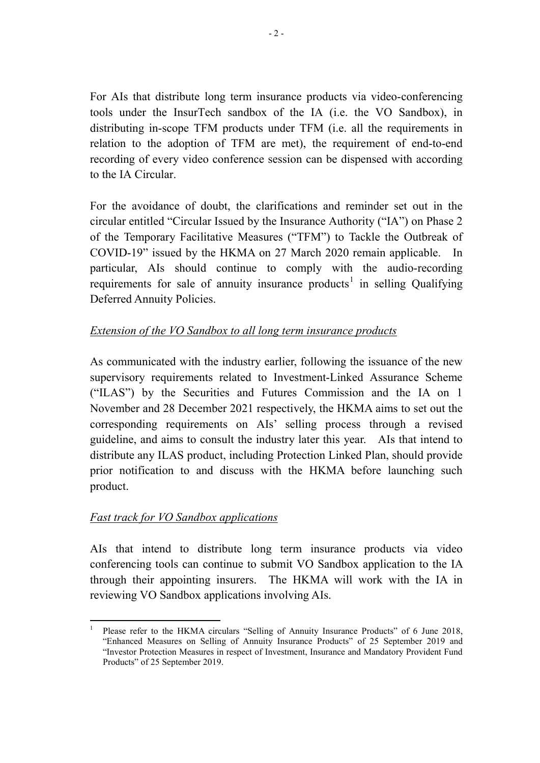For AIs that distribute long term insurance products via video-conferencing tools under the InsurTech sandbox of the IA (i.e. the VO Sandbox), in distributing in-scope TFM products under TFM (i.e. all the requirements in relation to the adoption of TFM are met), the requirement of end-to-end recording of every video conference session can be dispensed with according to the IA Circular.

For the avoidance of doubt, the clarifications and reminder set out in the circular entitled "Circular Issued by the Insurance Authority ("IA") on Phase 2 of the Temporary Facilitative Measures ("TFM") to Tackle the Outbreak of COVID-19" issued by the HKMA on 27 March 2020 remain applicable. In particular, AIs should continue to comply with the audio-recording requirements for sale of annuity insurance products<sup>[1](#page-1-0)</sup> in selling Qualifying Deferred Annuity Policies.

## *Extension of the VO Sandbox to all long term insurance products*

As communicated with the industry earlier, following the issuance of the new supervisory requirements related to Investment-Linked Assurance Scheme ("ILAS") by the Securities and Futures Commission and the IA on 1 November and 28 December 2021 respectively, the HKMA aims to set out the corresponding requirements on AIs' selling process through a revised guideline, and aims to consult the industry later this year. AIs that intend to distribute any ILAS product, including Protection Linked Plan, should provide prior notification to and discuss with the HKMA before launching such product.

## *Fast track for VO Sandbox applications*

AIs that intend to distribute long term insurance products via video conferencing tools can continue to submit VO Sandbox application to the IA through their appointing insurers. The HKMA will work with the IA in reviewing VO Sandbox applications involving AIs.

<span id="page-1-0"></span><sup>1</sup> Please refer to the HKMA circulars "Selling of Annuity Insurance Products" of 6 June 2018, "Enhanced Measures on Selling of Annuity Insurance Products" of 25 September 2019 and "Investor Protection Measures in respect of Investment, Insurance and Mandatory Provident Fund Products" of 25 September 2019.